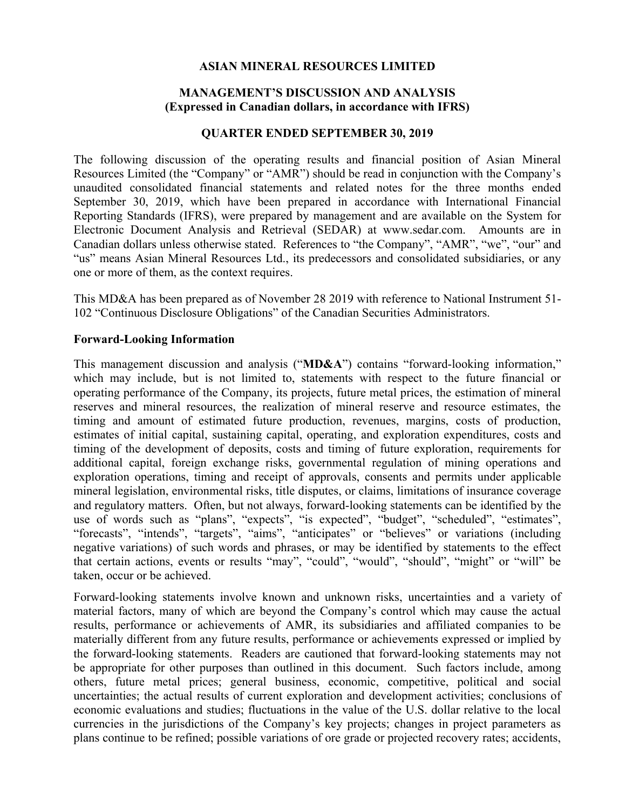### **ASIAN MINERAL RESOURCES LIMITED**

# **MANAGEMENT'S DISCUSSION AND ANALYSIS (Expressed in Canadian dollars, in accordance with IFRS)**

### **QUARTER ENDED SEPTEMBER 30, 2019**

The following discussion of the operating results and financial position of Asian Mineral Resources Limited (the "Company" or "AMR") should be read in conjunction with the Company's unaudited consolidated financial statements and related notes for the three months ended September 30, 2019, which have been prepared in accordance with International Financial Reporting Standards (IFRS), were prepared by management and are available on the System for Electronic Document Analysis and Retrieval (SEDAR) at www.sedar.com. Amounts are in Canadian dollars unless otherwise stated. References to "the Company", "AMR", "we", "our" and "us" means Asian Mineral Resources Ltd., its predecessors and consolidated subsidiaries, or any one or more of them, as the context requires.

This MD&A has been prepared as of November 28 2019 with reference to National Instrument 51- 102 "Continuous Disclosure Obligations" of the Canadian Securities Administrators.

# **Forward-Looking Information**

This management discussion and analysis ("**MD&A**") contains "forward-looking information," which may include, but is not limited to, statements with respect to the future financial or operating performance of the Company, its projects, future metal prices, the estimation of mineral reserves and mineral resources, the realization of mineral reserve and resource estimates, the timing and amount of estimated future production, revenues, margins, costs of production, estimates of initial capital, sustaining capital, operating, and exploration expenditures, costs and timing of the development of deposits, costs and timing of future exploration, requirements for additional capital, foreign exchange risks, governmental regulation of mining operations and exploration operations, timing and receipt of approvals, consents and permits under applicable mineral legislation, environmental risks, title disputes, or claims, limitations of insurance coverage and regulatory matters. Often, but not always, forward-looking statements can be identified by the use of words such as "plans", "expects", "is expected", "budget", "scheduled", "estimates", "forecasts", "intends", "targets", "aims", "anticipates" or "believes" or variations (including negative variations) of such words and phrases, or may be identified by statements to the effect that certain actions, events or results "may", "could", "would", "should", "might" or "will" be taken, occur or be achieved.

Forward-looking statements involve known and unknown risks, uncertainties and a variety of material factors, many of which are beyond the Company's control which may cause the actual results, performance or achievements of AMR, its subsidiaries and affiliated companies to be materially different from any future results, performance or achievements expressed or implied by the forward-looking statements. Readers are cautioned that forward-looking statements may not be appropriate for other purposes than outlined in this document. Such factors include, among others, future metal prices; general business, economic, competitive, political and social uncertainties; the actual results of current exploration and development activities; conclusions of economic evaluations and studies; fluctuations in the value of the U.S. dollar relative to the local currencies in the jurisdictions of the Company's key projects; changes in project parameters as plans continue to be refined; possible variations of ore grade or projected recovery rates; accidents,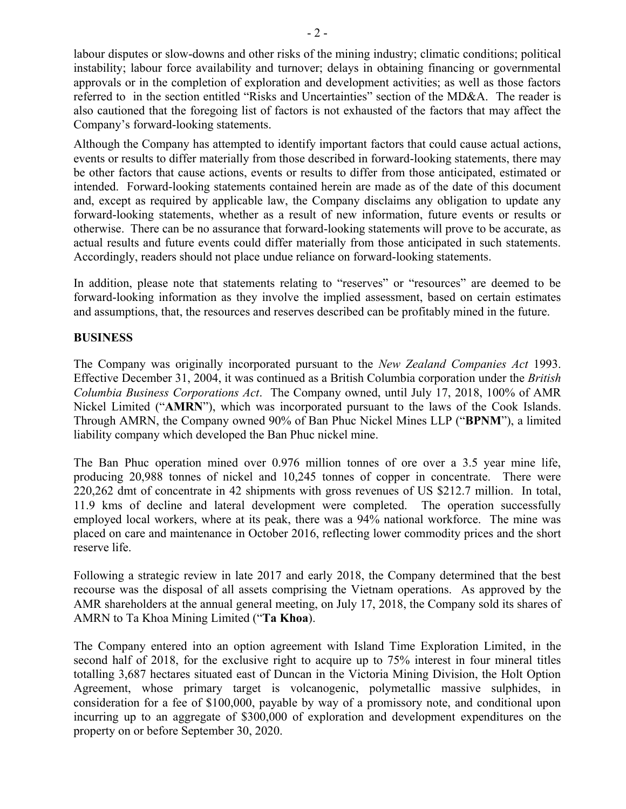labour disputes or slow-downs and other risks of the mining industry; climatic conditions; political instability; labour force availability and turnover; delays in obtaining financing or governmental approvals or in the completion of exploration and development activities; as well as those factors referred to in the section entitled "Risks and Uncertainties" section of the MD&A. The reader is also cautioned that the foregoing list of factors is not exhausted of the factors that may affect the Company's forward-looking statements.

Although the Company has attempted to identify important factors that could cause actual actions, events or results to differ materially from those described in forward-looking statements, there may be other factors that cause actions, events or results to differ from those anticipated, estimated or intended. Forward-looking statements contained herein are made as of the date of this document and, except as required by applicable law, the Company disclaims any obligation to update any forward-looking statements, whether as a result of new information, future events or results or otherwise. There can be no assurance that forward-looking statements will prove to be accurate, as actual results and future events could differ materially from those anticipated in such statements. Accordingly, readers should not place undue reliance on forward-looking statements.

In addition, please note that statements relating to "reserves" or "resources" are deemed to be forward-looking information as they involve the implied assessment, based on certain estimates and assumptions, that, the resources and reserves described can be profitably mined in the future.

### **BUSINESS**

The Company was originally incorporated pursuant to the *New Zealand Companies Act* 1993. Effective December 31, 2004, it was continued as a British Columbia corporation under the *British Columbia Business Corporations Act*. The Company owned, until July 17, 2018, 100% of AMR Nickel Limited ("**AMRN**"), which was incorporated pursuant to the laws of the Cook Islands. Through AMRN, the Company owned 90% of Ban Phuc Nickel Mines LLP ("**BPNM**"), a limited liability company which developed the Ban Phuc nickel mine.

The Ban Phuc operation mined over 0.976 million tonnes of ore over a 3.5 year mine life, producing 20,988 tonnes of nickel and 10,245 tonnes of copper in concentrate. There were 220,262 dmt of concentrate in 42 shipments with gross revenues of US \$212.7 million. In total, 11.9 kms of decline and lateral development were completed. The operation successfully employed local workers, where at its peak, there was a 94% national workforce. The mine was placed on care and maintenance in October 2016, reflecting lower commodity prices and the short reserve life.

Following a strategic review in late 2017 and early 2018, the Company determined that the best recourse was the disposal of all assets comprising the Vietnam operations. As approved by the AMR shareholders at the annual general meeting, on July 17, 2018, the Company sold its shares of AMRN to Ta Khoa Mining Limited ("**Ta Khoa**).

The Company entered into an option agreement with Island Time Exploration Limited, in the second half of 2018, for the exclusive right to acquire up to 75% interest in four mineral titles totalling 3,687 hectares situated east of Duncan in the Victoria Mining Division, the Holt Option Agreement, whose primary target is volcanogenic, polymetallic massive sulphides, in consideration for a fee of \$100,000, payable by way of a promissory note, and conditional upon incurring up to an aggregate of \$300,000 of exploration and development expenditures on the property on or before September 30, 2020.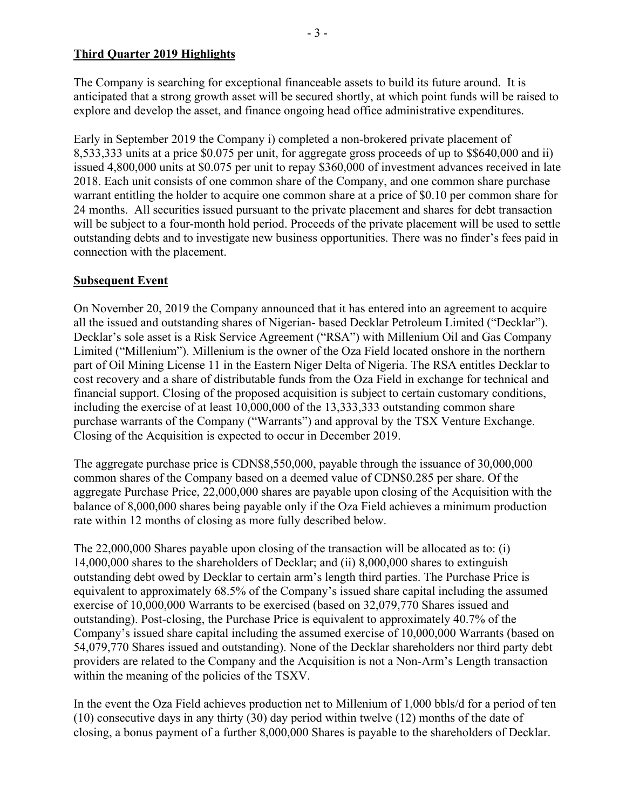# **Third Quarter 2019 Highlights**

The Company is searching for exceptional financeable assets to build its future around. It is anticipated that a strong growth asset will be secured shortly, at which point funds will be raised to explore and develop the asset, and finance ongoing head office administrative expenditures.

Early in September 2019 the Company i) completed a non-brokered private placement of 8,533,333 units at a price \$0.075 per unit, for aggregate gross proceeds of up to \$\$640,000 and ii) issued 4,800,000 units at \$0.075 per unit to repay \$360,000 of investment advances received in late 2018. Each unit consists of one common share of the Company, and one common share purchase warrant entitling the holder to acquire one common share at a price of \$0.10 per common share for 24 months. All securities issued pursuant to the private placement and shares for debt transaction will be subject to a four-month hold period. Proceeds of the private placement will be used to settle outstanding debts and to investigate new business opportunities. There was no finder's fees paid in connection with the placement.

# **Subsequent Event**

On November 20, 2019 the Company announced that it has entered into an agreement to acquire all the issued and outstanding shares of Nigerian- based Decklar Petroleum Limited ("Decklar"). Decklar's sole asset is a Risk Service Agreement ("RSA") with Millenium Oil and Gas Company Limited ("Millenium"). Millenium is the owner of the Oza Field located onshore in the northern part of Oil Mining License 11 in the Eastern Niger Delta of Nigeria. The RSA entitles Decklar to cost recovery and a share of distributable funds from the Oza Field in exchange for technical and financial support. Closing of the proposed acquisition is subject to certain customary conditions, including the exercise of at least 10,000,000 of the 13,333,333 outstanding common share purchase warrants of the Company ("Warrants") and approval by the TSX Venture Exchange. Closing of the Acquisition is expected to occur in December 2019.

The aggregate purchase price is CDN\$8,550,000, payable through the issuance of 30,000,000 common shares of the Company based on a deemed value of CDN\$0.285 per share. Of the aggregate Purchase Price, 22,000,000 shares are payable upon closing of the Acquisition with the balance of 8,000,000 shares being payable only if the Oza Field achieves a minimum production rate within 12 months of closing as more fully described below.

The 22,000,000 Shares payable upon closing of the transaction will be allocated as to: (i) 14,000,000 shares to the shareholders of Decklar; and (ii) 8,000,000 shares to extinguish outstanding debt owed by Decklar to certain arm's length third parties. The Purchase Price is equivalent to approximately 68.5% of the Company's issued share capital including the assumed exercise of 10,000,000 Warrants to be exercised (based on 32,079,770 Shares issued and outstanding). Post-closing, the Purchase Price is equivalent to approximately 40.7% of the Company's issued share capital including the assumed exercise of 10,000,000 Warrants (based on 54,079,770 Shares issued and outstanding). None of the Decklar shareholders nor third party debt providers are related to the Company and the Acquisition is not a Non-Arm's Length transaction within the meaning of the policies of the TSXV.

In the event the Oza Field achieves production net to Millenium of 1,000 bbls/d for a period of ten (10) consecutive days in any thirty (30) day period within twelve (12) months of the date of closing, a bonus payment of a further 8,000,000 Shares is payable to the shareholders of Decklar.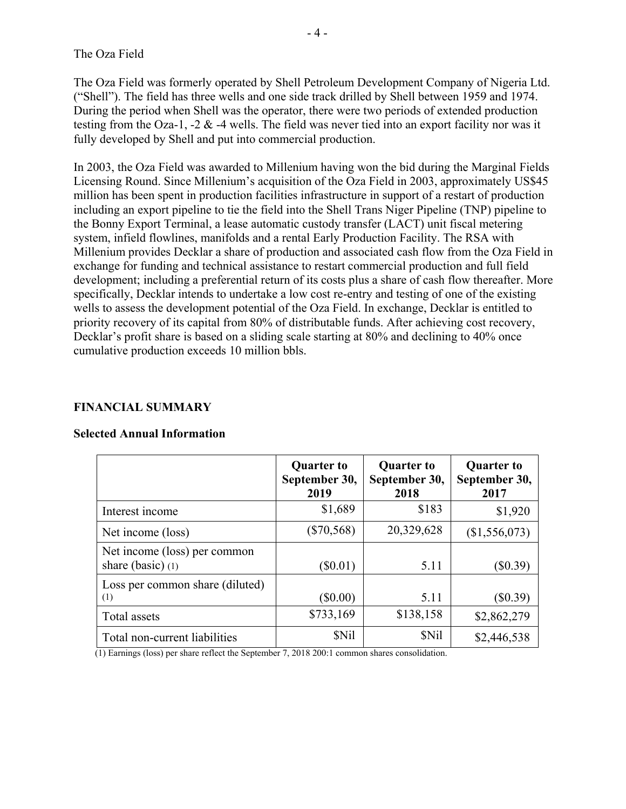The Oza Field

The Oza Field was formerly operated by Shell Petroleum Development Company of Nigeria Ltd. ("Shell"). The field has three wells and one side track drilled by Shell between 1959 and 1974. During the period when Shell was the operator, there were two periods of extended production testing from the Oza-1, -2 & -4 wells. The field was never tied into an export facility nor was it fully developed by Shell and put into commercial production.

In 2003, the Oza Field was awarded to Millenium having won the bid during the Marginal Fields Licensing Round. Since Millenium's acquisition of the Oza Field in 2003, approximately US\$45 million has been spent in production facilities infrastructure in support of a restart of production including an export pipeline to tie the field into the Shell Trans Niger Pipeline (TNP) pipeline to the Bonny Export Terminal, a lease automatic custody transfer (LACT) unit fiscal metering system, infield flowlines, manifolds and a rental Early Production Facility. The RSA with Millenium provides Decklar a share of production and associated cash flow from the Oza Field in exchange for funding and technical assistance to restart commercial production and full field development; including a preferential return of its costs plus a share of cash flow thereafter. More specifically, Decklar intends to undertake a low cost re-entry and testing of one of the existing wells to assess the development potential of the Oza Field. In exchange, Decklar is entitled to priority recovery of its capital from 80% of distributable funds. After achieving cost recovery, Decklar's profit share is based on a sliding scale starting at 80% and declining to 40% once cumulative production exceeds 10 million bbls.

# **FINANCIAL SUMMARY**

#### **Selected Annual Information**

|                                                     | <b>Quarter to</b><br>September 30,<br>2019 | <b>Quarter to</b><br>September 30,<br>2018 | <b>Quarter to</b><br>September 30,<br>2017 |
|-----------------------------------------------------|--------------------------------------------|--------------------------------------------|--------------------------------------------|
| Interest income                                     | \$1,689                                    | \$183                                      | \$1,920                                    |
| Net income (loss)                                   | $(\$70,568)$                               | 20,329,628                                 | (\$1,556,073)                              |
| Net income (loss) per common<br>share (basic) $(1)$ | $(\$0.01)$                                 | 5.11                                       | $\$0.39)$                                  |
| Loss per common share (diluted)<br>(1)              | $(\$0.00)$                                 | 5.11                                       | $\$0.39)$                                  |
| Total assets                                        | \$733,169                                  | \$138,158                                  | \$2,862,279                                |
| Total non-current liabilities                       | \$Nil                                      | \$Nil                                      | \$2,446,538                                |

(1) Earnings (loss) per share reflect the September 7, 2018 200:1 common shares consolidation.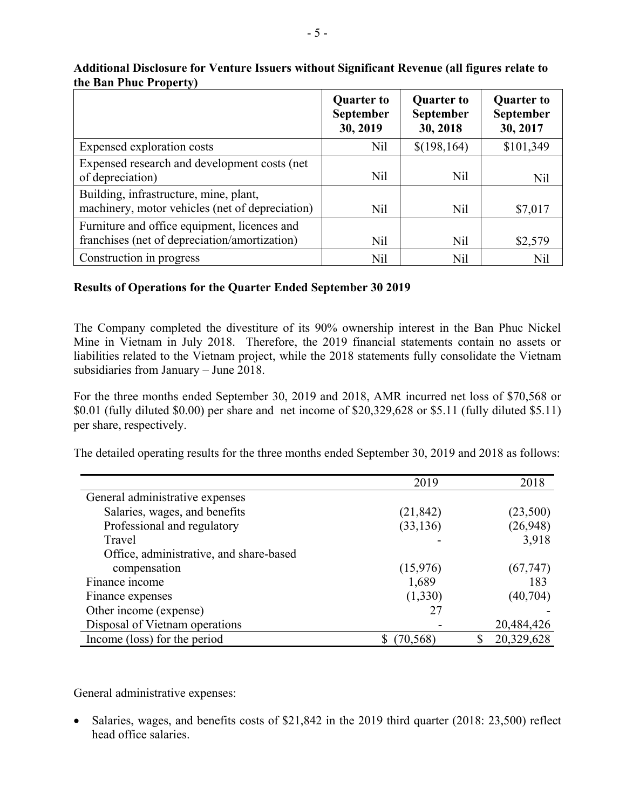|                                                                                               | <b>Quarter to</b><br><b>September</b><br>30, 2019 | <b>Quarter to</b><br><b>September</b><br>30, 2018 | <b>Quarter to</b><br><b>September</b><br>30, 2017 |
|-----------------------------------------------------------------------------------------------|---------------------------------------------------|---------------------------------------------------|---------------------------------------------------|
| Expensed exploration costs                                                                    | Nil                                               | \$(198, 164)                                      | \$101,349                                         |
| Expensed research and development costs (net)<br>of depreciation)                             | Nil                                               | Nil                                               | Nil                                               |
| Building, infrastructure, mine, plant,<br>machinery, motor vehicles (net of depreciation)     | N <sub>il</sub>                                   | N <sub>il</sub>                                   | \$7,017                                           |
| Furniture and office equipment, licences and<br>franchises (net of depreciation/amortization) | Nil                                               | Nil                                               | \$2,579                                           |
| Construction in progress                                                                      | Nil                                               | N <sub>il</sub>                                   | <b>Nil</b>                                        |

# **Additional Disclosure for Venture Issuers without Significant Revenue (all figures relate to the Ban Phuc Property)**

# **Results of Operations for the Quarter Ended September 30 2019**

The Company completed the divestiture of its 90% ownership interest in the Ban Phuc Nickel Mine in Vietnam in July 2018. Therefore, the 2019 financial statements contain no assets or liabilities related to the Vietnam project, while the 2018 statements fully consolidate the Vietnam subsidiaries from January – June 2018.

For the three months ended September 30, 2019 and 2018, AMR incurred net loss of \$70,568 or \$0.01 (fully diluted \$0.00) per share and net income of \$20,329,628 or \$5.11 (fully diluted \$5.11) per share, respectively.

The detailed operating results for the three months ended September 30, 2019 and 2018 as follows:

|                                         | 2019      | 2018       |
|-----------------------------------------|-----------|------------|
| General administrative expenses         |           |            |
| Salaries, wages, and benefits           | (21, 842) | (23,500)   |
| Professional and regulatory             | (33, 136) | (26, 948)  |
| Travel                                  |           | 3,918      |
| Office, administrative, and share-based |           |            |
| compensation                            | (15,976)  | (67, 747)  |
| Finance income                          | 1,689     | 183        |
| Finance expenses                        | (1,330)   | (40, 704)  |
| Other income (expense)                  | 27        |            |
| Disposal of Vietnam operations          |           | 20,484,426 |
| Income (loss) for the period            | (70, 568) | 20,329,628 |

General administrative expenses:

• Salaries, wages, and benefits costs of \$21,842 in the 2019 third quarter (2018: 23,500) reflect head office salaries.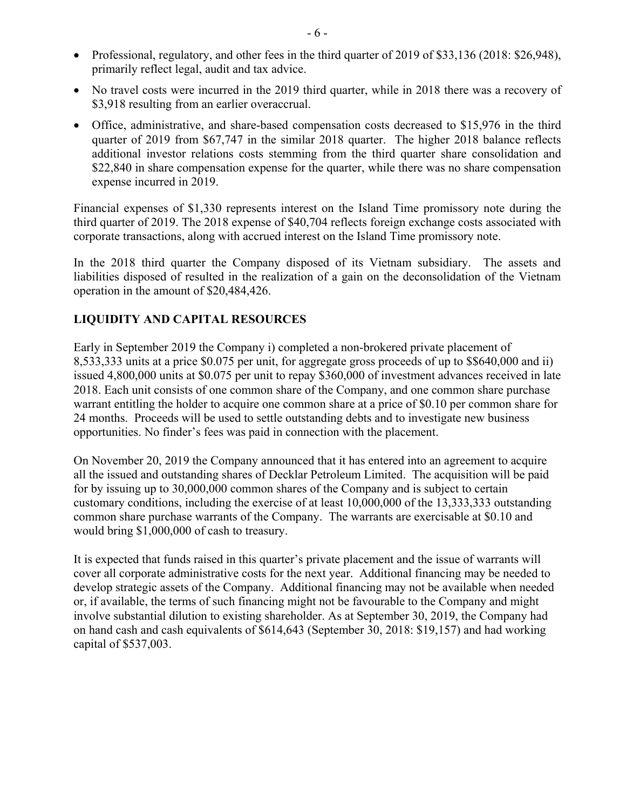- Professional, regulatory, and other fees in the third quarter of 2019 of \$33,136 (2018: \$26,948), primarily reflect legal, audit and tax advice.
- No travel costs were incurred in the 2019 third quarter, while in 2018 there was a recovery of \$3,918 resulting from an earlier overaccrual.
- Office, administrative, and share-based compensation costs decreased to \$15,976 in the third quarter of 2019 from \$67,747 in the similar 2018 quarter. The higher 2018 balance reflects additional investor relations costs stemming from the third quarter share consolidation and \$22,840 in share compensation expense for the quarter, while there was no share compensation expense incurred in 2019.

Financial expenses of \$1,330 represents interest on the Island Time promissory note during the third quarter of 2019. The 2018 expense of \$40,704 reflects foreign exchange costs associated with corporate transactions, along with accrued interest on the Island Time promissory note.

In the 2018 third quarter the Company disposed of its Vietnam subsidiary. The assets and liabilities disposed of resulted in the realization of a gain on the deconsolidation of the Vietnam operation in the amount of \$20,484,426.

# **LIQUIDITY AND CAPITAL RESOURCES**

Early in September 2019 the Company i) completed a non-brokered private placement of 8,533,333 units at a price \$0.075 per unit, for aggregate gross proceeds of up to \$\$640,000 and ii) issued 4,800,000 units at \$0.075 per unit to repay \$360,000 of investment advances received in late 2018. Each unit consists of one common share of the Company, and one common share purchase warrant entitling the holder to acquire one common share at a price of \$0.10 per common share for 24 months. Proceeds will be used to settle outstanding debts and to investigate new business opportunities. No finder's fees was paid in connection with the placement.

On November 20, 2019 the Company announced that it has entered into an agreement to acquire all the issued and outstanding shares of Decklar Petroleum Limited. The acquisition will be paid for by issuing up to 30,000,000 common shares of the Company and is subject to certain customary conditions, including the exercise of at least 10,000,000 of the 13,333,333 outstanding common share purchase warrants of the Company. The warrants are exercisable at \$0.10 and would bring \$1,000,000 of cash to treasury.

It is expected that funds raised in this quarter's private placement and the issue of warrants will cover all corporate administrative costs for the next year. Additional financing may be needed to develop strategic assets of the Company. Additional financing may not be available when needed or, if available, the terms of such financing might not be favourable to the Company and might involve substantial dilution to existing shareholder. As at September 30, 2019, the Company had on hand cash and cash equivalents of \$614,643 (September 30, 2018: \$19,157) and had working capital of \$537,003.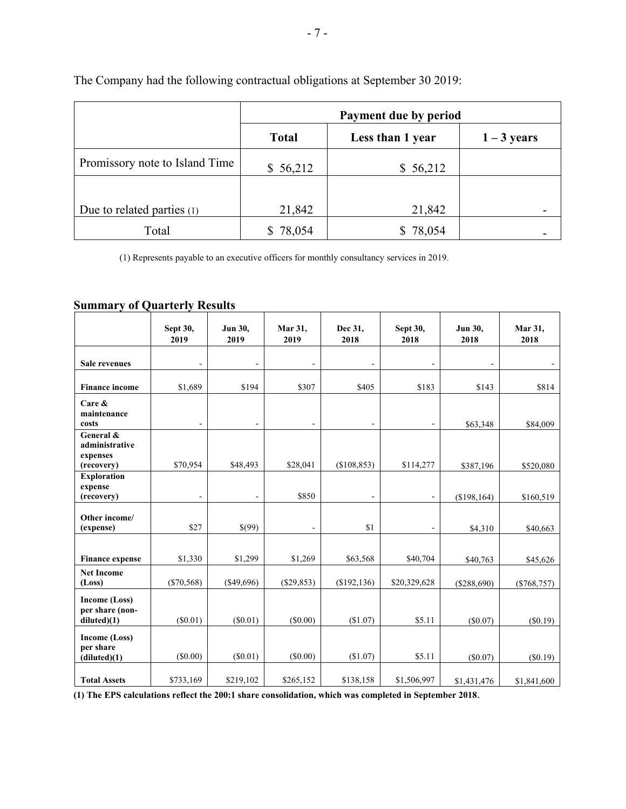|                                | Payment due by period |                  |               |  |
|--------------------------------|-----------------------|------------------|---------------|--|
|                                | <b>Total</b>          | Less than 1 year | $1 - 3$ years |  |
| Promissory note to Island Time | \$56,212              | \$56,212         |               |  |
|                                |                       |                  |               |  |
| Due to related parties $(1)$   | 21,842                | 21,842           |               |  |
| Total                          | \$78,054              | 78,054           |               |  |

The Company had the following contractual obligations at September 30 2019:

(1) Represents payable to an executive officers for monthly consultancy services in 2019.

# **Summary of Quarterly Results**

|                                                       | Sept 30,<br>2019 | Jun 30,<br>2019 | Mar 31,<br>2019 | Dec 31,<br>2018              | Sept 30,<br>2018 | <b>Jun 30,</b><br>2018 | Mar 31,<br>2018 |
|-------------------------------------------------------|------------------|-----------------|-----------------|------------------------------|------------------|------------------------|-----------------|
| <b>Sale revenues</b>                                  |                  |                 |                 |                              |                  |                        |                 |
| <b>Finance income</b>                                 | \$1,689          | \$194           | \$307           | \$405                        | \$183            | \$143                  | \$814           |
| Care &<br>maintenance<br>costs                        | ÷,               | $\blacksquare$  | $\overline{a}$  | $\overline{\phantom{a}}$     | $\frac{1}{2}$    | \$63,348               | \$84,009        |
| General &<br>administrative<br>expenses<br>(recovery) | \$70,954         | \$48,493        | \$28,041        | (\$108,853)                  | \$114,277        | \$387,196              | \$520,080       |
| <b>Exploration</b><br>expense<br>(recovery)           |                  |                 | \$850           | $\qquad \qquad \blacksquare$ |                  | (\$198,164)            | \$160,519       |
| Other income/<br>(expense)                            | \$27             | \$(99)          |                 | \$1                          |                  | \$4,310                | \$40,663        |
| <b>Finance expense</b>                                | \$1,330          | \$1,299         | \$1,269         | \$63,568                     | \$40,704         | \$40,763               | \$45,626        |
| <b>Net Income</b><br>(Loss)                           | $(\$70,568)$     | (\$49,696)      | $(\$29,853)$    | (\$192, 136)                 | \$20,329,628     | $(\$288,690)$          | $(\$768,757)$   |
| <b>Income (Loss)</b><br>per share (non-<br>diluted(1) | (\$0.01)         | $(\$0.01)$      | (S0.00)         | (\$1.07)                     | \$5.11           | (S0.07)                | (S0.19)         |
| Income (Loss)<br>per share<br>(diluted)(1)            | (S0.00)          | (S0.01)         | (S0.00)         | (\$1.07)                     | \$5.11           | $(\$0.07)$             | $(\$0.19)$      |
| <b>Total Assets</b>                                   | \$733,169        | \$219,102       | \$265,152       | \$138,158                    | \$1,506,997      | \$1,431,476            | \$1,841,600     |

**(1) The EPS calculations reflect the 200:1 share consolidation, which was completed in September 2018**.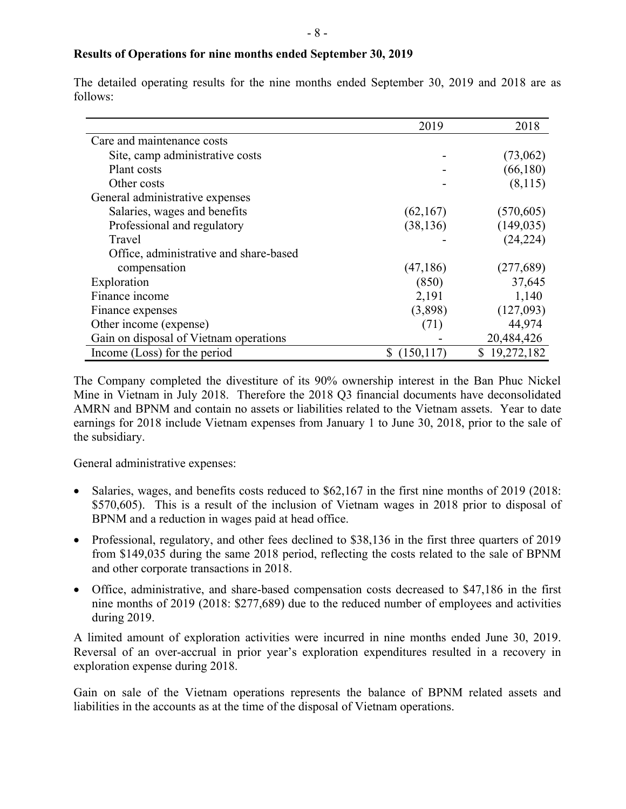The detailed operating results for the nine months ended September 30, 2019 and 2018 are as follows:

|                                        | 2019       | 2018         |
|----------------------------------------|------------|--------------|
| Care and maintenance costs             |            |              |
| Site, camp administrative costs        |            | (73,062)     |
| Plant costs                            |            | (66, 180)    |
| Other costs                            |            | (8,115)      |
| General administrative expenses        |            |              |
| Salaries, wages and benefits           | (62,167)   | (570, 605)   |
| Professional and regulatory            | (38, 136)  | (149, 035)   |
| Travel                                 |            | (24, 224)    |
| Office, administrative and share-based |            |              |
| compensation                           | (47, 186)  | (277, 689)   |
| Exploration                            | (850)      | 37,645       |
| Finance income                         | 2,191      | 1,140        |
| Finance expenses                       | (3,898)    | (127,093)    |
| Other income (expense)                 | (71)       | 44,974       |
| Gain on disposal of Vietnam operations |            | 20,484,426   |
| Income (Loss) for the period           | (150, 117) | \$19,272,182 |

The Company completed the divestiture of its 90% ownership interest in the Ban Phuc Nickel Mine in Vietnam in July 2018. Therefore the 2018 Q3 financial documents have deconsolidated AMRN and BPNM and contain no assets or liabilities related to the Vietnam assets. Year to date earnings for 2018 include Vietnam expenses from January 1 to June 30, 2018, prior to the sale of the subsidiary.

General administrative expenses:

- Salaries, wages, and benefits costs reduced to \$62,167 in the first nine months of 2019 (2018: \$570,605). This is a result of the inclusion of Vietnam wages in 2018 prior to disposal of BPNM and a reduction in wages paid at head office.
- Professional, regulatory, and other fees declined to \$38,136 in the first three quarters of 2019 from \$149,035 during the same 2018 period, reflecting the costs related to the sale of BPNM and other corporate transactions in 2018.
- Office, administrative, and share-based compensation costs decreased to \$47,186 in the first nine months of 2019 (2018: \$277,689) due to the reduced number of employees and activities during 2019.

A limited amount of exploration activities were incurred in nine months ended June 30, 2019. Reversal of an over-accrual in prior year's exploration expenditures resulted in a recovery in exploration expense during 2018.

Gain on sale of the Vietnam operations represents the balance of BPNM related assets and liabilities in the accounts as at the time of the disposal of Vietnam operations.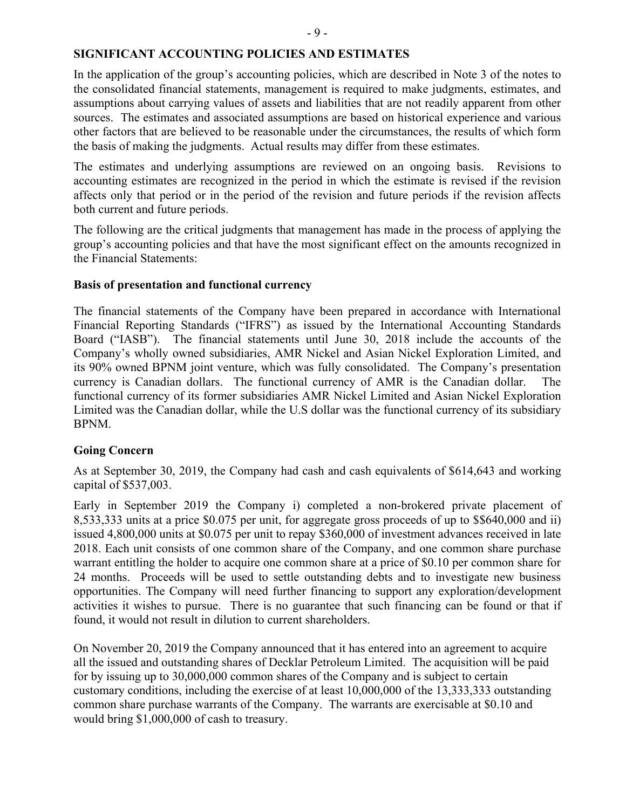# **SIGNIFICANT ACCOUNTING POLICIES AND ESTIMATES**

In the application of the group's accounting policies, which are described in Note 3 of the notes to the consolidated financial statements, management is required to make judgments, estimates, and assumptions about carrying values of assets and liabilities that are not readily apparent from other sources. The estimates and associated assumptions are based on historical experience and various other factors that are believed to be reasonable under the circumstances, the results of which form the basis of making the judgments. Actual results may differ from these estimates.

The estimates and underlying assumptions are reviewed on an ongoing basis. Revisions to accounting estimates are recognized in the period in which the estimate is revised if the revision affects only that period or in the period of the revision and future periods if the revision affects both current and future periods.

The following are the critical judgments that management has made in the process of applying the group's accounting policies and that have the most significant effect on the amounts recognized in the Financial Statements:

#### **Basis of presentation and functional currency**

The financial statements of the Company have been prepared in accordance with International Financial Reporting Standards ("IFRS") as issued by the International Accounting Standards Board ("IASB"). The financial statements until June 30, 2018 include the accounts of the Company's wholly owned subsidiaries, AMR Nickel and Asian Nickel Exploration Limited, and its 90% owned BPNM joint venture, which was fully consolidated. The Company's presentation currency is Canadian dollars. The functional currency of AMR is the Canadian dollar. The functional currency of its former subsidiaries AMR Nickel Limited and Asian Nickel Exploration Limited was the Canadian dollar, while the U.S dollar was the functional currency of its subsidiary BPNM.

### **Going Concern**

As at September 30, 2019, the Company had cash and cash equivalents of \$614,643 and working capital of \$537,003.

Early in September 2019 the Company i) completed a non-brokered private placement of 8,533,333 units at a price \$0.075 per unit, for aggregate gross proceeds of up to \$\$640,000 and ii) issued 4,800,000 units at \$0.075 per unit to repay \$360,000 of investment advances received in late 2018. Each unit consists of one common share of the Company, and one common share purchase warrant entitling the holder to acquire one common share at a price of \$0.10 per common share for 24 months. Proceeds will be used to settle outstanding debts and to investigate new business opportunities. The Company will need further financing to support any exploration/development activities it wishes to pursue. There is no guarantee that such financing can be found or that if found, it would not result in dilution to current shareholders.

On November 20, 2019 the Company announced that it has entered into an agreement to acquire all the issued and outstanding shares of Decklar Petroleum Limited. The acquisition will be paid for by issuing up to 30,000,000 common shares of the Company and is subject to certain customary conditions, including the exercise of at least 10,000,000 of the 13,333,333 outstanding common share purchase warrants of the Company. The warrants are exercisable at \$0.10 and would bring \$1,000,000 of cash to treasury.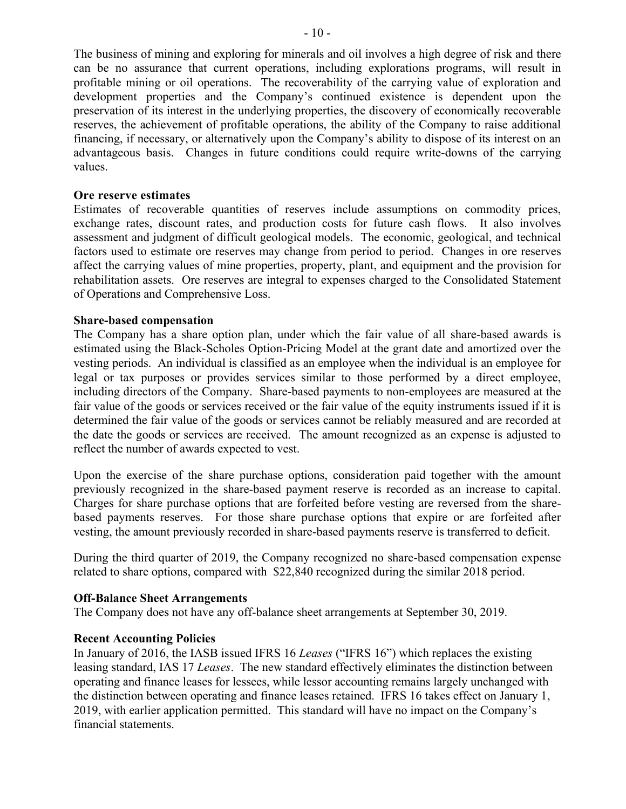The business of mining and exploring for minerals and oil involves a high degree of risk and there can be no assurance that current operations, including explorations programs, will result in profitable mining or oil operations. The recoverability of the carrying value of exploration and development properties and the Company's continued existence is dependent upon the preservation of its interest in the underlying properties, the discovery of economically recoverable reserves, the achievement of profitable operations, the ability of the Company to raise additional financing, if necessary, or alternatively upon the Company's ability to dispose of its interest on an advantageous basis. Changes in future conditions could require write-downs of the carrying values.

#### **Ore reserve estimates**

Estimates of recoverable quantities of reserves include assumptions on commodity prices, exchange rates, discount rates, and production costs for future cash flows. It also involves assessment and judgment of difficult geological models. The economic, geological, and technical factors used to estimate ore reserves may change from period to period. Changes in ore reserves affect the carrying values of mine properties, property, plant, and equipment and the provision for rehabilitation assets. Ore reserves are integral to expenses charged to the Consolidated Statement of Operations and Comprehensive Loss.

#### **Share-based compensation**

The Company has a share option plan, under which the fair value of all share-based awards is estimated using the Black-Scholes Option-Pricing Model at the grant date and amortized over the vesting periods. An individual is classified as an employee when the individual is an employee for legal or tax purposes or provides services similar to those performed by a direct employee, including directors of the Company. Share-based payments to non-employees are measured at the fair value of the goods or services received or the fair value of the equity instruments issued if it is determined the fair value of the goods or services cannot be reliably measured and are recorded at the date the goods or services are received. The amount recognized as an expense is adjusted to reflect the number of awards expected to vest.

Upon the exercise of the share purchase options, consideration paid together with the amount previously recognized in the share-based payment reserve is recorded as an increase to capital. Charges for share purchase options that are forfeited before vesting are reversed from the sharebased payments reserves. For those share purchase options that expire or are forfeited after vesting, the amount previously recorded in share-based payments reserve is transferred to deficit.

During the third quarter of 2019, the Company recognized no share-based compensation expense related to share options, compared with \$22,840 recognized during the similar 2018 period.

#### **Off-Balance Sheet Arrangements**

The Company does not have any off-balance sheet arrangements at September 30, 2019.

#### **Recent Accounting Policies**

In January of 2016, the IASB issued IFRS 16 *Leases* ("IFRS 16") which replaces the existing leasing standard, IAS 17 *Leases*. The new standard effectively eliminates the distinction between operating and finance leases for lessees, while lessor accounting remains largely unchanged with the distinction between operating and finance leases retained. IFRS 16 takes effect on January 1, 2019, with earlier application permitted. This standard will have no impact on the Company's financial statements.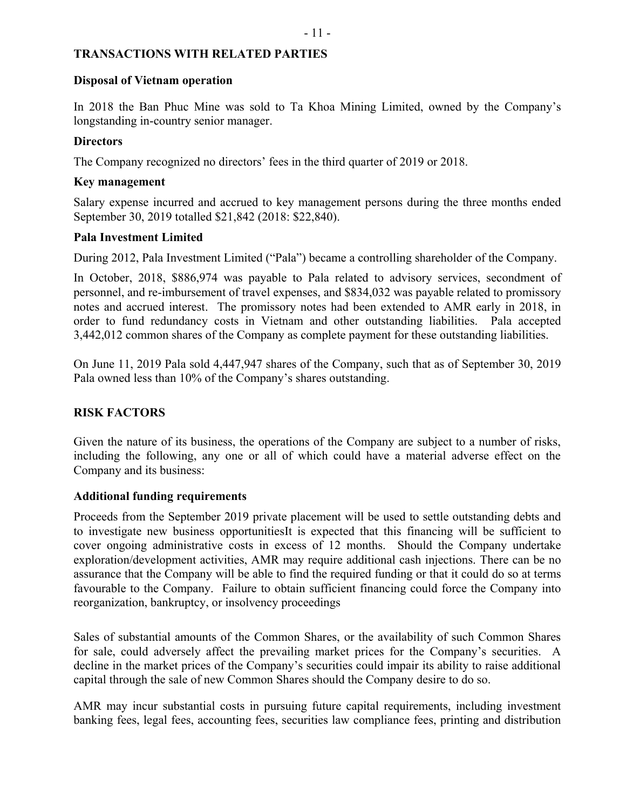# **TRANSACTIONS WITH RELATED PARTIES**

### **Disposal of Vietnam operation**

In 2018 the Ban Phuc Mine was sold to Ta Khoa Mining Limited, owned by the Company's longstanding in-country senior manager.

### **Directors**

The Company recognized no directors' fees in the third quarter of 2019 or 2018.

### **Key management**

Salary expense incurred and accrued to key management persons during the three months ended September 30, 2019 totalled \$21,842 (2018: \$22,840).

### **Pala Investment Limited**

During 2012, Pala Investment Limited ("Pala") became a controlling shareholder of the Company.

In October, 2018, \$886,974 was payable to Pala related to advisory services, secondment of personnel, and re-imbursement of travel expenses, and \$834,032 was payable related to promissory notes and accrued interest. The promissory notes had been extended to AMR early in 2018, in order to fund redundancy costs in Vietnam and other outstanding liabilities. Pala accepted 3,442,012 common shares of the Company as complete payment for these outstanding liabilities.

On June 11, 2019 Pala sold 4,447,947 shares of the Company, such that as of September 30, 2019 Pala owned less than 10% of the Company's shares outstanding.

# **RISK FACTORS**

Given the nature of its business, the operations of the Company are subject to a number of risks, including the following, any one or all of which could have a material adverse effect on the Company and its business:

# **Additional funding requirements**

Proceeds from the September 2019 private placement will be used to settle outstanding debts and to investigate new business opportunitiesIt is expected that this financing will be sufficient to cover ongoing administrative costs in excess of 12 months. Should the Company undertake exploration/development activities, AMR may require additional cash injections. There can be no assurance that the Company will be able to find the required funding or that it could do so at terms favourable to the Company. Failure to obtain sufficient financing could force the Company into reorganization, bankruptcy, or insolvency proceedings

Sales of substantial amounts of the Common Shares, or the availability of such Common Shares for sale, could adversely affect the prevailing market prices for the Company's securities. A decline in the market prices of the Company's securities could impair its ability to raise additional capital through the sale of new Common Shares should the Company desire to do so.

AMR may incur substantial costs in pursuing future capital requirements, including investment banking fees, legal fees, accounting fees, securities law compliance fees, printing and distribution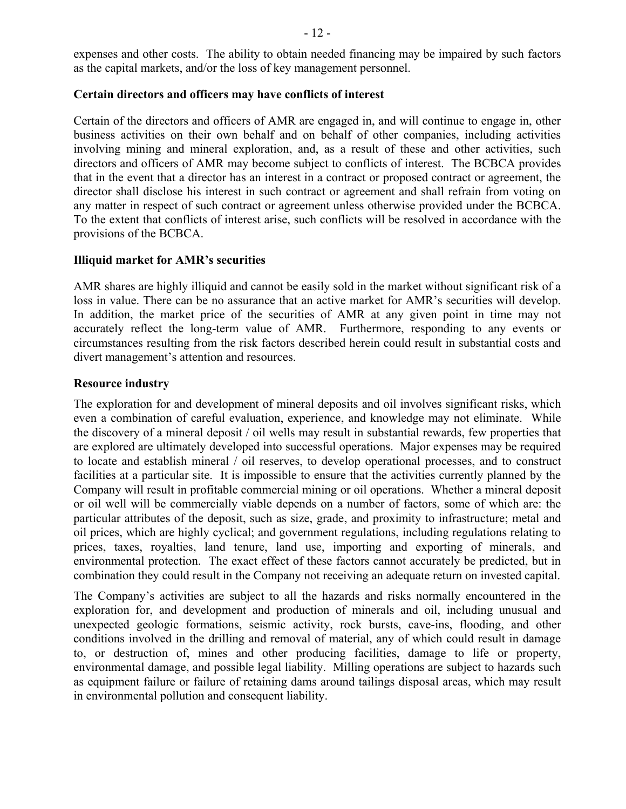expenses and other costs. The ability to obtain needed financing may be impaired by such factors as the capital markets, and/or the loss of key management personnel.

# **Certain directors and officers may have conflicts of interest**

Certain of the directors and officers of AMR are engaged in, and will continue to engage in, other business activities on their own behalf and on behalf of other companies, including activities involving mining and mineral exploration, and, as a result of these and other activities, such directors and officers of AMR may become subject to conflicts of interest. The BCBCA provides that in the event that a director has an interest in a contract or proposed contract or agreement, the director shall disclose his interest in such contract or agreement and shall refrain from voting on any matter in respect of such contract or agreement unless otherwise provided under the BCBCA. To the extent that conflicts of interest arise, such conflicts will be resolved in accordance with the provisions of the BCBCA.

### **Illiquid market for AMR's securities**

AMR shares are highly illiquid and cannot be easily sold in the market without significant risk of a loss in value. There can be no assurance that an active market for AMR's securities will develop. In addition, the market price of the securities of AMR at any given point in time may not accurately reflect the long-term value of AMR. Furthermore, responding to any events or circumstances resulting from the risk factors described herein could result in substantial costs and divert management's attention and resources.

### **Resource industry**

The exploration for and development of mineral deposits and oil involves significant risks, which even a combination of careful evaluation, experience, and knowledge may not eliminate. While the discovery of a mineral deposit / oil wells may result in substantial rewards, few properties that are explored are ultimately developed into successful operations. Major expenses may be required to locate and establish mineral / oil reserves, to develop operational processes, and to construct facilities at a particular site. It is impossible to ensure that the activities currently planned by the Company will result in profitable commercial mining or oil operations. Whether a mineral deposit or oil well will be commercially viable depends on a number of factors, some of which are: the particular attributes of the deposit, such as size, grade, and proximity to infrastructure; metal and oil prices, which are highly cyclical; and government regulations, including regulations relating to prices, taxes, royalties, land tenure, land use, importing and exporting of minerals, and environmental protection. The exact effect of these factors cannot accurately be predicted, but in combination they could result in the Company not receiving an adequate return on invested capital.

The Company's activities are subject to all the hazards and risks normally encountered in the exploration for, and development and production of minerals and oil, including unusual and unexpected geologic formations, seismic activity, rock bursts, cave-ins, flooding, and other conditions involved in the drilling and removal of material, any of which could result in damage to, or destruction of, mines and other producing facilities, damage to life or property, environmental damage, and possible legal liability. Milling operations are subject to hazards such as equipment failure or failure of retaining dams around tailings disposal areas, which may result in environmental pollution and consequent liability.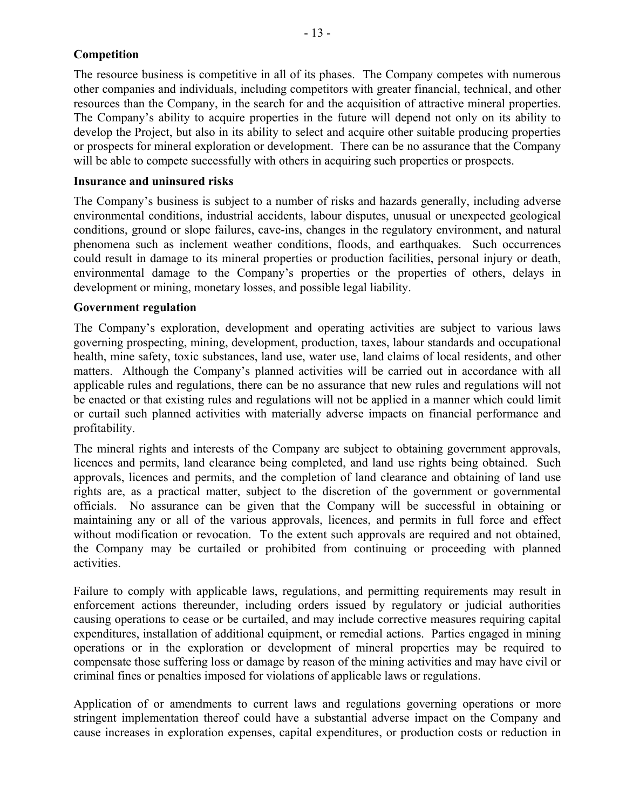# **Competition**

The resource business is competitive in all of its phases. The Company competes with numerous other companies and individuals, including competitors with greater financial, technical, and other resources than the Company, in the search for and the acquisition of attractive mineral properties. The Company's ability to acquire properties in the future will depend not only on its ability to develop the Project, but also in its ability to select and acquire other suitable producing properties or prospects for mineral exploration or development. There can be no assurance that the Company will be able to compete successfully with others in acquiring such properties or prospects.

### **Insurance and uninsured risks**

The Company's business is subject to a number of risks and hazards generally, including adverse environmental conditions, industrial accidents, labour disputes, unusual or unexpected geological conditions, ground or slope failures, cave-ins, changes in the regulatory environment, and natural phenomena such as inclement weather conditions, floods, and earthquakes. Such occurrences could result in damage to its mineral properties or production facilities, personal injury or death, environmental damage to the Company's properties or the properties of others, delays in development or mining, monetary losses, and possible legal liability.

### **Government regulation**

The Company's exploration, development and operating activities are subject to various laws governing prospecting, mining, development, production, taxes, labour standards and occupational health, mine safety, toxic substances, land use, water use, land claims of local residents, and other matters. Although the Company's planned activities will be carried out in accordance with all applicable rules and regulations, there can be no assurance that new rules and regulations will not be enacted or that existing rules and regulations will not be applied in a manner which could limit or curtail such planned activities with materially adverse impacts on financial performance and profitability.

The mineral rights and interests of the Company are subject to obtaining government approvals, licences and permits, land clearance being completed, and land use rights being obtained. Such approvals, licences and permits, and the completion of land clearance and obtaining of land use rights are, as a practical matter, subject to the discretion of the government or governmental officials. No assurance can be given that the Company will be successful in obtaining or maintaining any or all of the various approvals, licences, and permits in full force and effect without modification or revocation. To the extent such approvals are required and not obtained, the Company may be curtailed or prohibited from continuing or proceeding with planned activities.

Failure to comply with applicable laws, regulations, and permitting requirements may result in enforcement actions thereunder, including orders issued by regulatory or judicial authorities causing operations to cease or be curtailed, and may include corrective measures requiring capital expenditures, installation of additional equipment, or remedial actions. Parties engaged in mining operations or in the exploration or development of mineral properties may be required to compensate those suffering loss or damage by reason of the mining activities and may have civil or criminal fines or penalties imposed for violations of applicable laws or regulations.

Application of or amendments to current laws and regulations governing operations or more stringent implementation thereof could have a substantial adverse impact on the Company and cause increases in exploration expenses, capital expenditures, or production costs or reduction in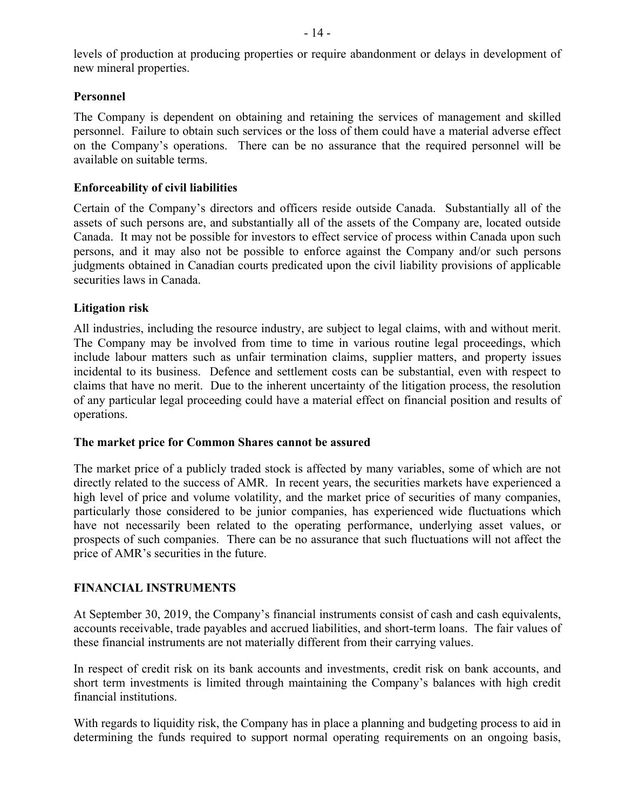levels of production at producing properties or require abandonment or delays in development of new mineral properties.

# **Personnel**

The Company is dependent on obtaining and retaining the services of management and skilled personnel. Failure to obtain such services or the loss of them could have a material adverse effect on the Company's operations. There can be no assurance that the required personnel will be available on suitable terms.

# **Enforceability of civil liabilities**

Certain of the Company's directors and officers reside outside Canada. Substantially all of the assets of such persons are, and substantially all of the assets of the Company are, located outside Canada. It may not be possible for investors to effect service of process within Canada upon such persons, and it may also not be possible to enforce against the Company and/or such persons judgments obtained in Canadian courts predicated upon the civil liability provisions of applicable securities laws in Canada.

# **Litigation risk**

All industries, including the resource industry, are subject to legal claims, with and without merit. The Company may be involved from time to time in various routine legal proceedings, which include labour matters such as unfair termination claims, supplier matters, and property issues incidental to its business. Defence and settlement costs can be substantial, even with respect to claims that have no merit. Due to the inherent uncertainty of the litigation process, the resolution of any particular legal proceeding could have a material effect on financial position and results of operations.

### **The market price for Common Shares cannot be assured**

The market price of a publicly traded stock is affected by many variables, some of which are not directly related to the success of AMR. In recent years, the securities markets have experienced a high level of price and volume volatility, and the market price of securities of many companies, particularly those considered to be junior companies, has experienced wide fluctuations which have not necessarily been related to the operating performance, underlying asset values, or prospects of such companies. There can be no assurance that such fluctuations will not affect the price of AMR's securities in the future.

### **FINANCIAL INSTRUMENTS**

At September 30, 2019, the Company's financial instruments consist of cash and cash equivalents, accounts receivable, trade payables and accrued liabilities, and short-term loans. The fair values of these financial instruments are not materially different from their carrying values.

In respect of credit risk on its bank accounts and investments, credit risk on bank accounts, and short term investments is limited through maintaining the Company's balances with high credit financial institutions.

With regards to liquidity risk, the Company has in place a planning and budgeting process to aid in determining the funds required to support normal operating requirements on an ongoing basis,